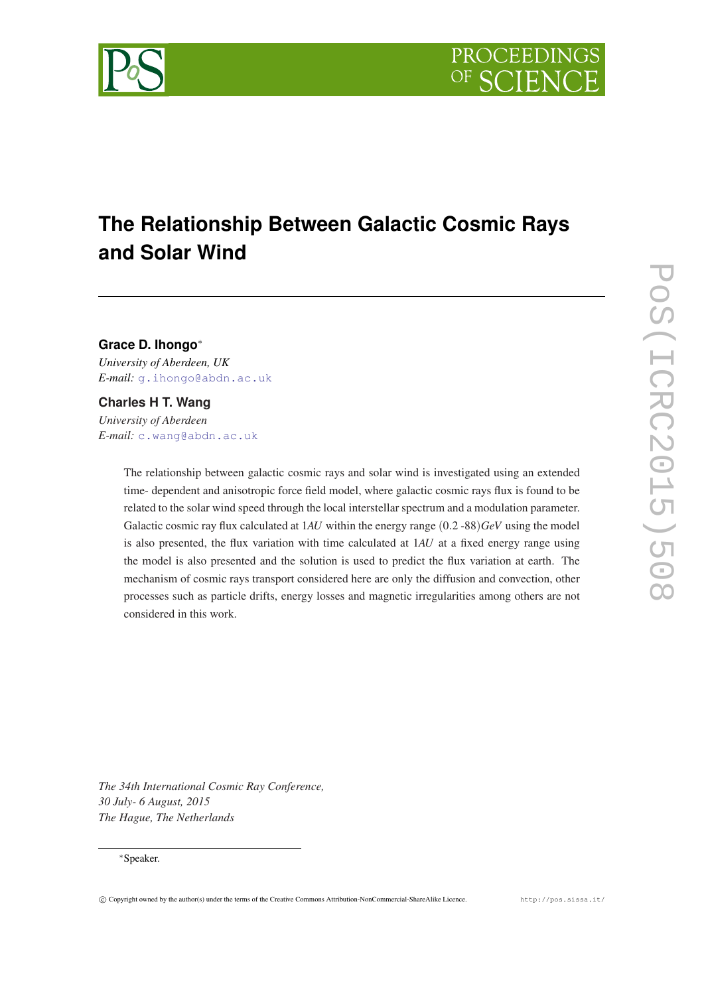

# **The Relationship Between Galactic Cosmic Rays and Solar Wind**

# **Grace D. Ihongo**<sup>∗</sup>

*University of Aberdeen, UK E-mail:* [g.ihongo@abdn.ac.uk](mailto:g.ihongo@abdn.ac.uk)

## **Charles H T. Wang**

*University of Aberdeen E-mail:* [c.wang@abdn.ac.uk](mailto:c.wang@abdn.ac.uk)

> The relationship between galactic cosmic rays and solar wind is investigated using an extended time- dependent and anisotropic force field model, where galactic cosmic rays flux is found to be related to the solar wind speed through the local interstellar spectrum and a modulation parameter. Galactic cosmic ray flux calculated at 1*AU* within the energy range (0.2 -88)*GeV* using the model is also presented, the flux variation with time calculated at 1*AU* at a fixed energy range using the model is also presented and the solution is used to predict the flux variation at earth. The mechanism of cosmic rays transport considered here are only the diffusion and convection, other processes such as particle drifts, energy losses and magnetic irregularities among others are not considered in this work.

*The 34th International Cosmic Ray Conference, 30 July- 6 August, 2015 The Hague, The Netherlands*

### <sup>∗</sup>Speaker.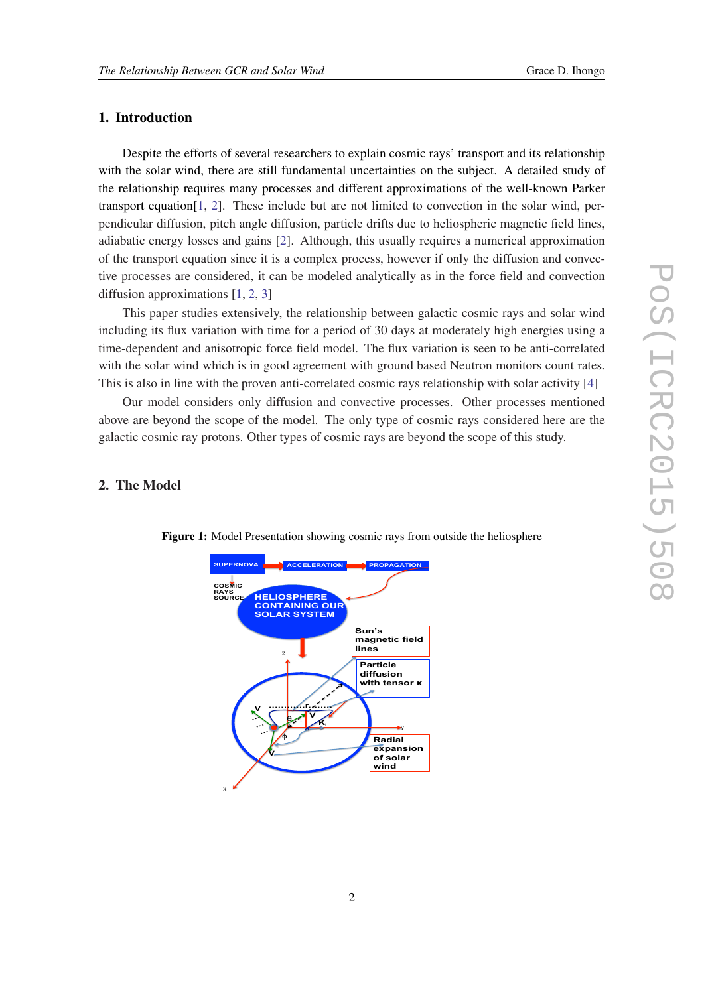## 1. Introduction

Despite the efforts of several researchers to explain cosmic rays' transport and its relationship with the solar wind, there are still fundamental uncertainties on the subject. A detailed study of the relationship requires many processes and different approximations of the well-known Parker transport equation[[1](#page-7-0), [2](#page-7-0)]. These include but are not limited to convection in the solar wind, perpendicular diffusion, pitch angle diffusion, particle drifts due to heliospheric magnetic field lines, adiabatic energy losses and gains [[2](#page-7-0)]. Although, this usually requires a numerical approximation of the transport equation since it is a complex process, however if only the diffusion and convective processes are considered, it can be modeled analytically as in the force field and convection diffusion approximations [\[1,](#page-7-0) [2,](#page-7-0) [3\]](#page-7-0)

This paper studies extensively, the relationship between galactic cosmic rays and solar wind including its flux variation with time for a period of 30 days at moderately high energies using a time-dependent and anisotropic force field model. The flux variation is seen to be anti-correlated with the solar wind which is in good agreement with ground based Neutron monitors count rates. This is also in line with the proven anti-correlated cosmic rays relationship with solar activity [[4](#page-7-0)]

Our model considers only diffusion and convective processes. Other processes mentioned above are beyond the scope of the model. The only type of cosmic rays considered here are the galactic cosmic ray protons. Other types of cosmic rays are beyond the scope of this study.

# 2. The Model



Figure 1: Model Presentation showing cosmic rays from outside the heliosphere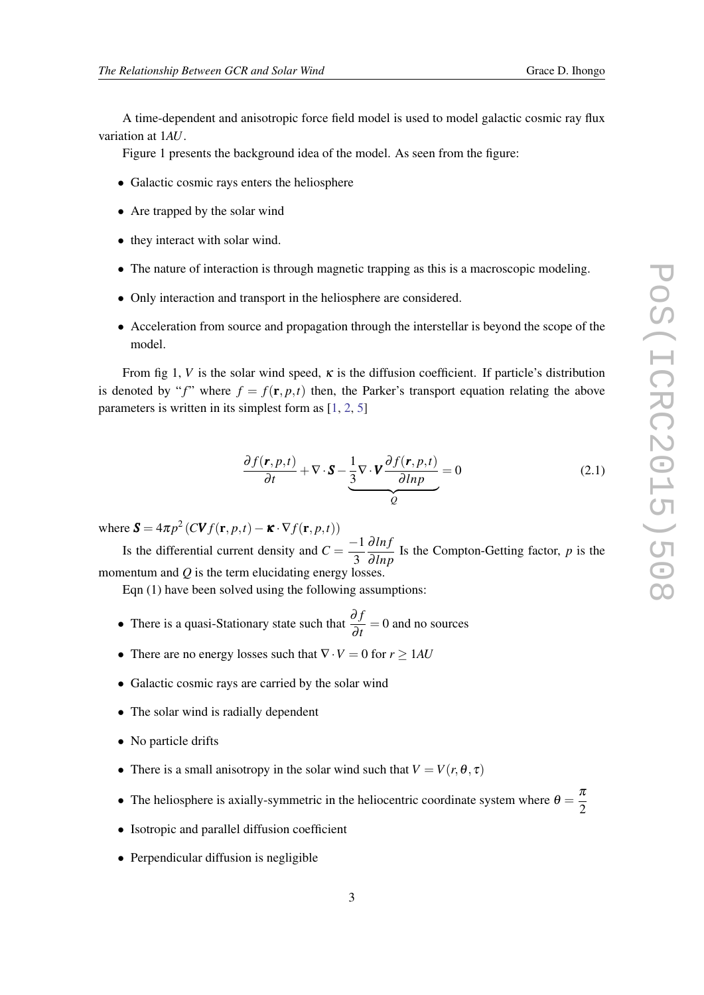A time-dependent and anisotropic force field model is used to model galactic cosmic ray flux variation at 1*AU*.

Figure 1 presents the background idea of the model. As seen from the figure:

- Galactic cosmic rays enters the heliosphere
- Are trapped by the solar wind
- they interact with solar wind.
- The nature of interaction is through magnetic trapping as this is a macroscopic modeling.
- Only interaction and transport in the heliosphere are considered.
- Acceleration from source and propagation through the interstellar is beyond the scope of the model.

From fig 1, *V* is the solar wind speed,  $\kappa$  is the diffusion coefficient. If particle's distribution is denoted by "f" where  $f = f(\mathbf{r}, p, t)$  then, the Parker's transport equation relating the above parameters is written in its simplest form as [\[1,](#page-7-0) [2,](#page-7-0) [5\]](#page-7-0)

$$
\frac{\partial f(\mathbf{r}, p, t)}{\partial t} + \nabla \cdot \mathbf{S} - \underbrace{\frac{1}{3} \nabla \cdot \mathbf{V} \frac{\partial f(\mathbf{r}, p, t)}{\partial \ln p}}_{Q} = 0
$$
\n(2.1)

where  $\mathbf{S} = 4\pi p^2 \left( C \mathbf{V} f(\mathbf{r}, p, t) - \mathbf{\kappa} \cdot \nabla f(\mathbf{r}, p, t) \right)$ 

Is the differential current density and  $C = \frac{-1}{2}$ 3 ∂ *ln f*  $\frac{\partial}{\partial lnp}$  Is the Compton-Getting factor, *p* is the momentum and *Q* is the term elucidating energy losses.

Eqn (1) have been solved using the following assumptions:

- There is a quasi-Stationary state such that <sup>∂</sup> *<sup>f</sup>*  $\frac{\partial^2 f}{\partial t} = 0$  and no sources
- There are no energy losses such that  $\nabla \cdot V = 0$  for  $r > 1AU$
- Galactic cosmic rays are carried by the solar wind
- The solar wind is radially dependent
- No particle drifts
- There is a small anisotropy in the solar wind such that  $V = V(r, \theta, \tau)$
- The heliosphere is axially-symmetric in the heliocentric coordinate system where  $\theta = \frac{\pi}{2}$ 2
- Isotropic and parallel diffusion coefficient
- Perpendicular diffusion is negligible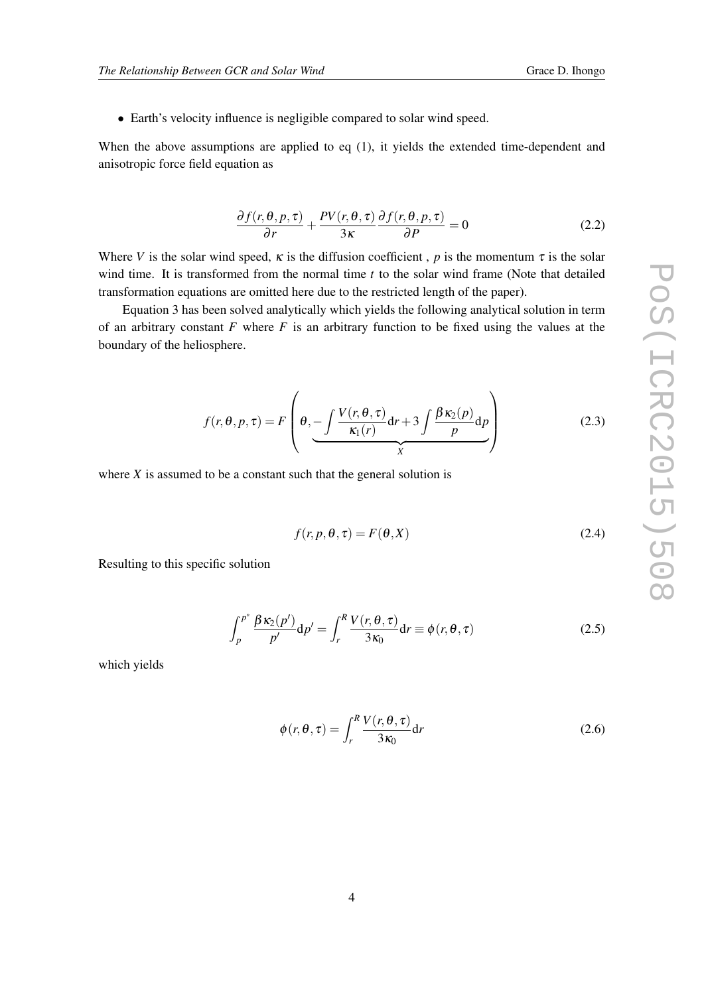• Earth's velocity influence is negligible compared to solar wind speed.

When the above assumptions are applied to eq (1), it yields the extended time-dependent and anisotropic force field equation as

$$
\frac{\partial f(r,\theta,p,\tau)}{\partial r} + \frac{PV(r,\theta,\tau)}{3\kappa} \frac{\partial f(r,\theta,p,\tau)}{\partial P} = 0
$$
\n(2.2)

Where *V* is the solar wind speed,  $\kappa$  is the diffusion coefficient, *p* is the momentum  $\tau$  is the solar wind time. It is transformed from the normal time *t* to the solar wind frame (Note that detailed transformation equations are omitted here due to the restricted length of the paper).

Equation 3 has been solved analytically which yields the following analytical solution in term of an arbitrary constant  $F$  where  $F$  is an arbitrary function to be fixed using the values at the boundary of the heliosphere.

$$
f(r, \theta, p, \tau) = F\left(\theta, -\frac{\int \frac{V(r, \theta, \tau)}{\kappa_1(r)} dr + 3 \int \frac{\beta \kappa_2(p)}{p} dp}{\chi}\right)
$$
(2.3)

where  $X$  is assumed to be a constant such that the general solution is

$$
f(r, p, \theta, \tau) = F(\theta, X) \tag{2.4}
$$

Resulting to this specific solution

$$
\int_{p}^{p^{*}} \frac{\beta \kappa_{2}(p')}{p'} dp' = \int_{r}^{R} \frac{V(r, \theta, \tau)}{3 \kappa_{0}} dr \equiv \phi(r, \theta, \tau)
$$
\n(2.5)

which yields

$$
\phi(r,\theta,\tau) = \int_{r}^{R} \frac{V(r,\theta,\tau)}{3\kappa_0} dr \tag{2.6}
$$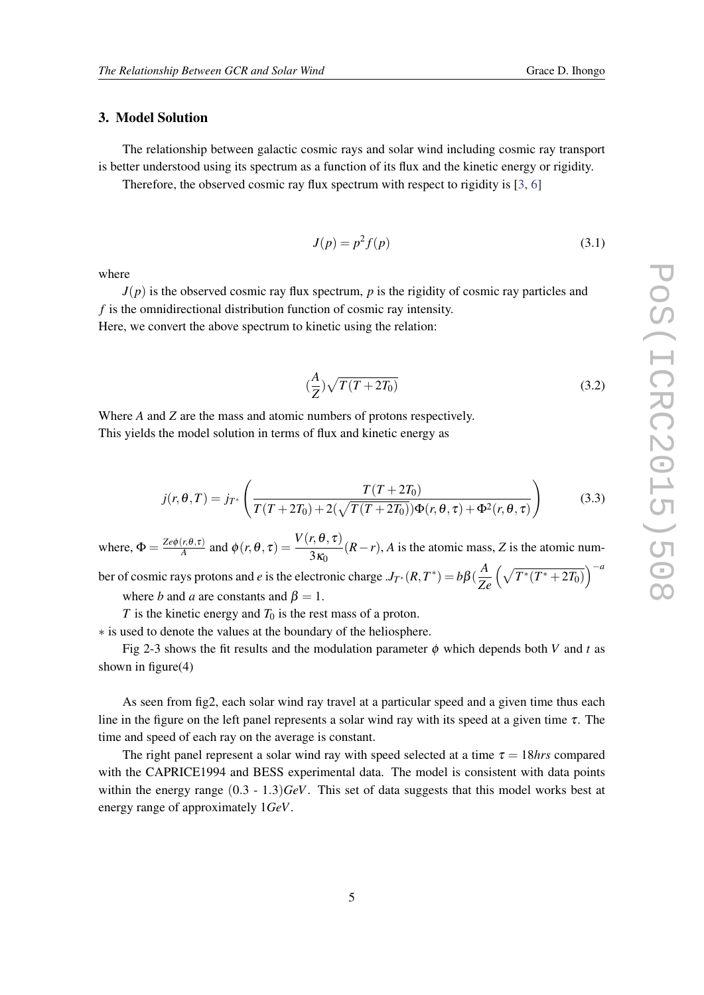### 3. Model Solution

The relationship between galactic cosmic rays and solar wind including cosmic ray transport is better understood using its spectrum as a function of its flux and the kinetic energy or rigidity.

Therefore, the observed cosmic ray flux spectrum with respect to rigidity is [\[3,](#page-7-0) [6\]](#page-7-0)

$$
J(p) = p^2 f(p) \tag{3.1}
$$

 $\frac{A}{Z}$ ) $\sqrt{T(T + 2T_0)}$  (3.2)

where

*J*(*p*) is the observed cosmic ray flux spectrum, *p* is the rigidity of cosmic ray particles and *f* is the omnidirectional distribution function of cosmic ray intensity. Here, we convert the above spectrum to kinetic using the relation:

 $\left(\frac{A}{2}\right)$ 

Where *A* and *Z* are the mass and atomic numbers of protons respectively.

This yields the model solution in terms of flux and kinetic energy as

$$
j(r, \theta, T) = j_{T^*} \left( \frac{T(T + 2T_0)}{T(T + 2T_0) + 2(\sqrt{T(T + 2T_0)}) \Phi(r, \theta, \tau) + \Phi^2(r, \theta, \tau)} \right)
$$
(3.3)

where,  $\Phi = \frac{Ze\phi(r,\theta,\tau)}{A}$  $\frac{V(r, \theta, \tau)}{A}$  and  $\phi(r, \theta, \tau) = \frac{V(r, \theta, \tau)}{3\kappa_0} (R - r)$ , *A* is the atomic mass, *Z* is the atomic num-

ber of cosmic rays protons and *e* is the electronic charge  $J_{T^*}(R, T^*) = b\beta(\frac{A}{Z})$ *Ze*  $(\sqrt{T^*(T^*+2T_0)})^{-a}$ where *b* and *a* are constants and  $\beta = 1$ .

*T* is the kinetic energy and  $T_0$  is the rest mass of a proton.

∗ is used to denote the values at the boundary of the heliosphere.

Fig 2-3 shows the fit results and the modulation parameter  $\phi$  which depends both *V* and *t* as shown in figure(4)

As seen from fig2, each solar wind ray travel at a particular speed and a given time thus each line in the figure on the left panel represents a solar wind ray with its speed at a given time  $\tau$ . The time and speed of each ray on the average is constant.

The right panel represent a solar wind ray with speed selected at a time  $\tau = 18$ *hrs* compared with the CAPRICE1994 and BESS experimental data. The model is consistent with data points within the energy range (0.3 - 1.3)*GeV*. This set of data suggests that this model works best at energy range of approximately 1*GeV*.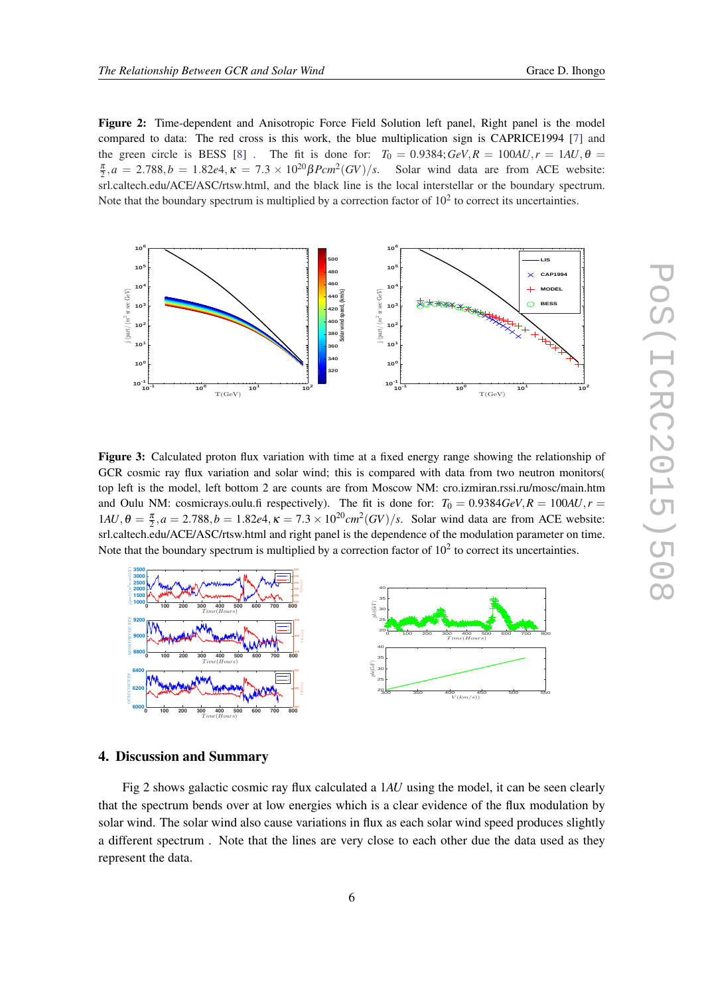Figure 2: Time-dependent and Anisotropic Force Field Solution left panel, Right panel is the model compared to data: The red cross is this work, the blue multiplication sign is CAPRICE1994 [[7\]](#page-7-0) and the green circle is BESS [\[8](#page-7-0)]. The fit is done for:  $T_0 = 0.9384$ ;  $GeV, R = 100AU, r = 1AU, \theta = 0.9384$  $\frac{\pi}{2}$ ,  $a = 2.788$ ,  $b = 1.82$ e4,  $\kappa = 7.3 \times 10^{20} \beta$ Pcm<sup>2</sup>(*GV*)/*s*. Solar wind data are from ACE website: srl.caltech.edu/ACE/ASC/rtsw.html, and the black line is the local interstellar or the boundary spectrum. Note that the boundary spectrum is multiplied by a correction factor of  $10<sup>2</sup>$  to correct its uncertainties.



Figure 3: Calculated proton flux variation with time at a fixed energy range showing the relationship of GCR cosmic ray flux variation and solar wind; this is compared with data from two neutron monitors( top left is the model, left bottom 2 are counts are from Moscow NM: cro.izmiran.rssi.ru/mosc/main.htm and Oulu NM: cosmicrays.oulu.fi respectively). The fit is done for:  $T_0 = 0.9384 \text{ GeV}, R = 100 \text{ AU}, r = 0.04 \text{ GeV}$  $1AU, θ = \frac{\pi}{2}, a = 2.788, b = 1.82e4, \kappa = 7.3 \times 10^{20} cm^2 (GV)/s$ . Solar wind data are from ACE website: srl.caltech.edu/ACE/ASC/rtsw.html and right panel is the dependence of the modulation parameter on time. Note that the boundary spectrum is multiplied by a correction factor of  $10<sup>2</sup>$  to correct its uncertainties.



## 4. Discussion and Summary

Fig 2 shows galactic cosmic ray flux calculated a 1*AU* using the model, it can be seen clearly that the spectrum bends over at low energies which is a clear evidence of the flux modulation by solar wind. The solar wind also cause variations in flux as each solar wind speed produces slightly a different spectrum . Note that the lines are very close to each other due the data used as they represent the data.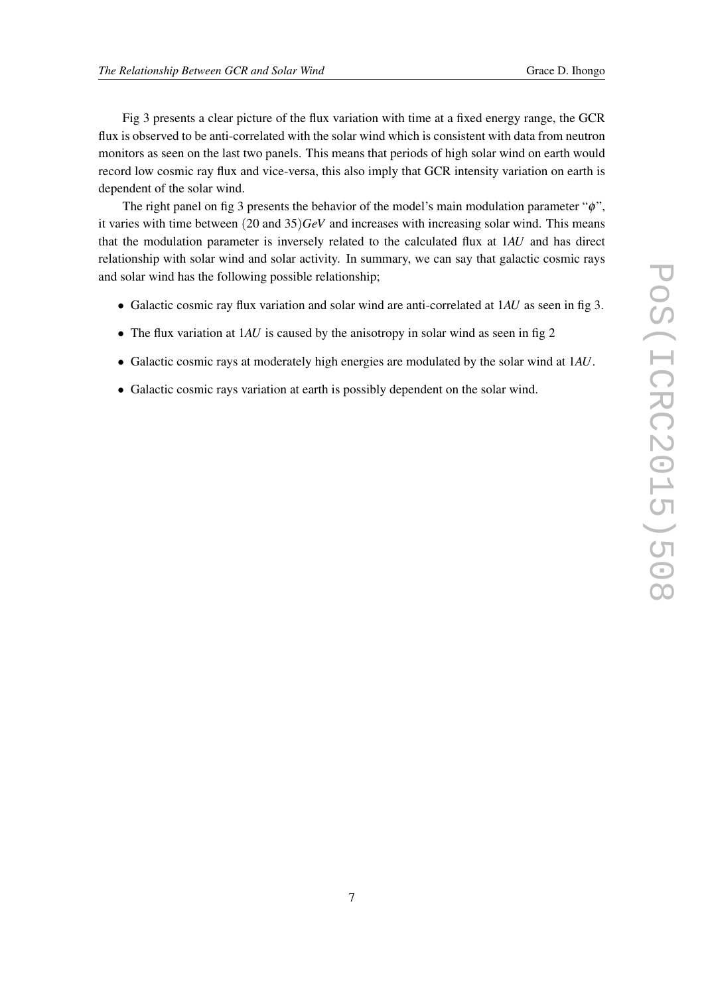Fig 3 presents a clear picture of the flux variation with time at a fixed energy range, the GCR flux is observed to be anti-correlated with the solar wind which is consistent with data from neutron monitors as seen on the last two panels. This means that periods of high solar wind on earth would record low cosmic ray flux and vice-versa, this also imply that GCR intensity variation on earth is dependent of the solar wind.

The right panel on fig 3 presents the behavior of the model's main modulation parameter " $\phi$ ", it varies with time between (20 and 35)*GeV* and increases with increasing solar wind. This means that the modulation parameter is inversely related to the calculated flux at 1*AU* and has direct relationship with solar wind and solar activity. In summary, we can say that galactic cosmic rays and solar wind has the following possible relationship;

- Galactic cosmic ray flux variation and solar wind are anti-correlated at 1*AU* as seen in fig 3.
- The flux variation at 1*AU* is caused by the anisotropy in solar wind as seen in fig 2
- Galactic cosmic rays at moderately high energies are modulated by the solar wind at 1*AU*.
- Galactic cosmic rays variation at earth is possibly dependent on the solar wind.